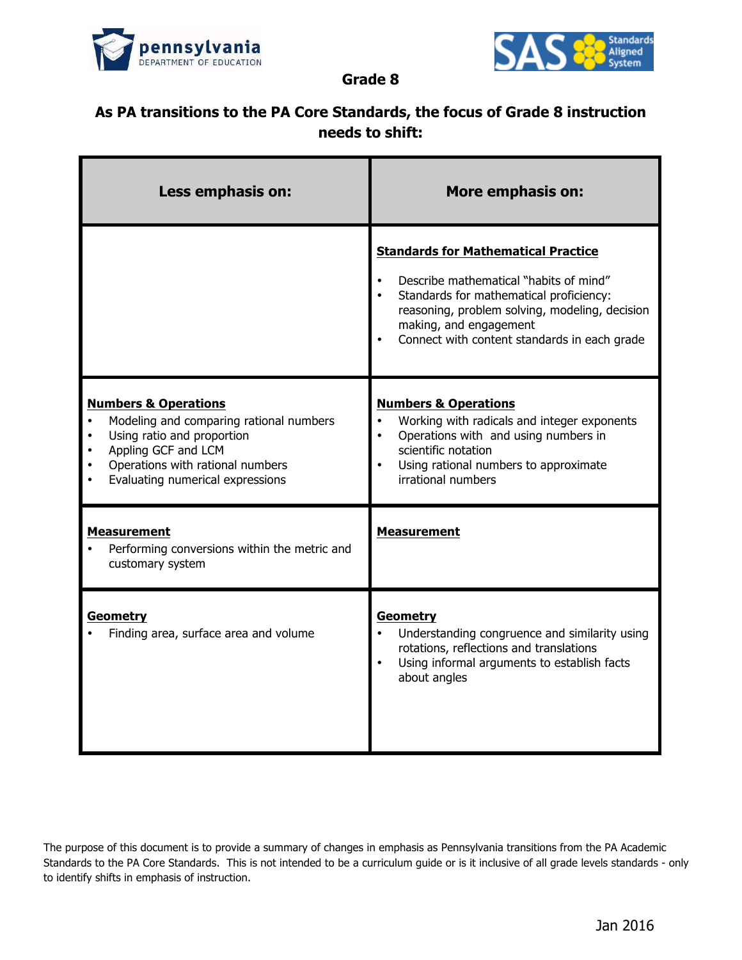



**Grade 8**

## **As PA transitions to the PA Core Standards, the focus of Grade 8 instruction needs to shift:**

| Less emphasis on:                                                                                                                                                                                       | <b>More emphasis on:</b>                                                                                                                                                                                                                                    |
|---------------------------------------------------------------------------------------------------------------------------------------------------------------------------------------------------------|-------------------------------------------------------------------------------------------------------------------------------------------------------------------------------------------------------------------------------------------------------------|
|                                                                                                                                                                                                         | <b>Standards for Mathematical Practice</b><br>Describe mathematical "habits of mind"<br>Standards for mathematical proficiency:<br>reasoning, problem solving, modeling, decision<br>making, and engagement<br>Connect with content standards in each grade |
| <b>Numbers &amp; Operations</b><br>Modeling and comparing rational numbers<br>Using ratio and proportion<br>Appling GCF and LCM<br>Operations with rational numbers<br>Evaluating numerical expressions | <b>Numbers &amp; Operations</b><br>Working with radicals and integer exponents<br>Operations with and using numbers in<br>$\bullet$<br>scientific notation<br>Using rational numbers to approximate<br>$\bullet$<br>irrational numbers                      |
| <b>Measurement</b><br>Performing conversions within the metric and<br>customary system                                                                                                                  | <b>Measurement</b>                                                                                                                                                                                                                                          |
| <b>Geometry</b><br>Finding area, surface area and volume                                                                                                                                                | Geometry<br>Understanding congruence and similarity using<br>rotations, reflections and translations<br>Using informal arguments to establish facts<br>about angles                                                                                         |

The purpose of this document is to provide a summary of changes in emphasis as Pennsylvania transitions from the PA Academic Standards to the PA Core Standards. This is not intended to be a curriculum guide or is it inclusive of all grade levels standards - only to identify shifts in emphasis of instruction.